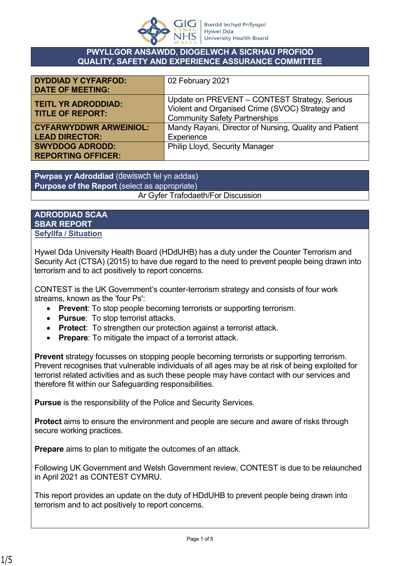

#### **PWYLLGOR ANSAWDD, DIOGELWCH A SICRHAU PROFIOD QUALITY, SAFETY AND EXPERIENCE ASSURANCE COMMITTEE**

| <b>DYDDIAD Y CYFARFOD:</b><br><b>DATE OF MEETING:</b>  | 02 February 2021                                                                                                                         |
|--------------------------------------------------------|------------------------------------------------------------------------------------------------------------------------------------------|
| <b>TEITL YR ADRODDIAD:</b><br><b>TITLE OF REPORT:</b>  | Update on PREVENT - CONTEST Strategy, Serious<br>Violent and Organised Crime (SVOC) Strategy and<br><b>Community Safety Partnerships</b> |
| <b>CYFARWYDDWR ARWEINIOL:</b><br><b>LEAD DIRECTOR:</b> | Mandy Rayani, Director of Nursing, Quality and Patient<br>Experience                                                                     |
| <b>SWYDDOG ADRODD:</b><br><b>REPORTING OFFICER:</b>    | <b>Philip Lloyd, Security Manager</b>                                                                                                    |

**Pwrpas yr Adroddiad** (dewiswch fel yn addas) **Purpose of the Report** (select as appropriate) Ar Gyfer Trafodaeth/For Discussion

### **ADRODDIAD SCAA SBAR REPORT Sefyllfa / Situation**

Hywel Dda University Health Board (HDdUHB) has a duty under the Counter Terrorism and Security Act (CTSA) (2015) to have due regard to the need to prevent people being drawn into terrorism and to act positively to report concerns.

CONTEST is the UK Government's counter-terrorism strategy and consists of four work streams, known as the 'four Ps':

- **Prevent**: To stop people becoming terrorists or supporting terrorism.
- **Pursue**: To stop terrorist attacks.
- **Protect**: To strengthen our protection against a terrorist attack.
- **Prepare**: To mitigate the impact of a terrorist attack.

**Prevent** strategy focusses on stopping people becoming terrorists or supporting terrorism. Prevent recognises that vulnerable individuals of all ages may be at risk of being exploited for terrorist related activities and as such these people may have contact with our services and therefore fit within our Safeguarding responsibilities.

**Pursue** is the responsibility of the Police and Security Services.

**Protect** aims to ensure the environment and people are secure and aware of risks through secure working practices.

**Prepare** aims to plan to mitigate the outcomes of an attack.

Following UK Government and Welsh Government review, CONTEST is due to be relaunched in April 2021 as CONTEST CYMRU.

This report provides an update on the duty of HDdUHB to prevent people being drawn into terrorism and to act positively to report concerns.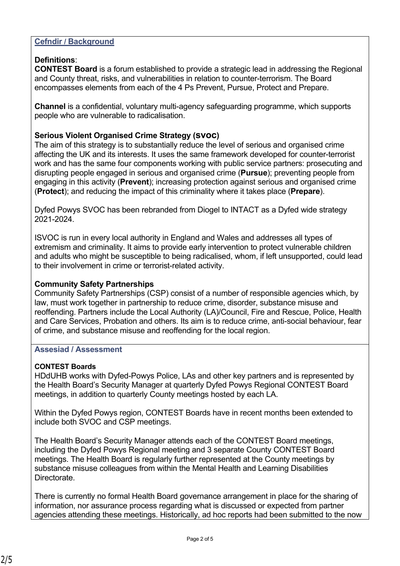### **Cefndir / Background**

## **Definitions**:

**CONTEST Board** is a forum established to provide a strategic lead in addressing the Regional and County threat, risks, and vulnerabilities in relation to counter-terrorism. The Board encompasses elements from each of the 4 Ps Prevent, Pursue, Protect and Prepare.

**Channel** is a confidential, voluntary multi-agency safeguarding programme, which supports people who are vulnerable to radicalisation.

## **Serious Violent Organised Crime Strategy (svoc)**

The aim of this strategy is to substantially reduce the level of serious and organised crime affecting the UK and its interests. It uses the same framework developed for counter-terrorist work and has the same four components working with public service partners: prosecuting and disrupting people engaged in serious and organised crime (**Pursue**); preventing people from engaging in this activity (**Prevent**); increasing protection against serious and organised crime (**Protect**); and reducing the impact of this criminality where it takes place (**Prepare**).

Dyfed Powys SVOC has been rebranded from Diogel to INTACT as a Dyfed wide strategy 2021-2024.

ISVOC is run in every local authority in England and Wales and addresses all types of extremism and criminality. It aims to provide early intervention to protect vulnerable children and adults who might be susceptible to being radicalised, whom, if left unsupported, could lead to their involvement in crime or terrorist-related activity.

#### **Community Safety Partnerships**

Community Safety Partnerships (CSP) consist of a number of responsible agencies which, by law, must work together in partnership to reduce crime, disorder, substance misuse and reoffending. Partners include the Local Authority (LA)/Council, Fire and Rescue, Police, Health and Care Services, Probation and others. Its aim is to reduce crime, anti-social behaviour, fear of crime, and substance misuse and reoffending for the local region.

#### **Assesiad / Assessment**

#### **CONTEST Boards**

HDdUHB works with Dyfed-Powys Police, LAs and other key partners and is represented by the Health Board's Security Manager at quarterly Dyfed Powys Regional CONTEST Board meetings, in addition to quarterly County meetings hosted by each LA.

Within the Dyfed Powys region, CONTEST Boards have in recent months been extended to include both SVOC and CSP meetings.

The Health Board's Security Manager attends each of the CONTEST Board meetings, including the Dyfed Powys Regional meeting and 3 separate County CONTEST Board meetings. The Health Board is regularly further represented at the County meetings by substance misuse colleagues from within the Mental Health and Learning Disabilities **Directorate** 

There is currently no formal Health Board governance arrangement in place for the sharing of information, nor assurance process regarding what is discussed or expected from partner agencies attending these meetings. Historically, ad hoc reports had been submitted to the now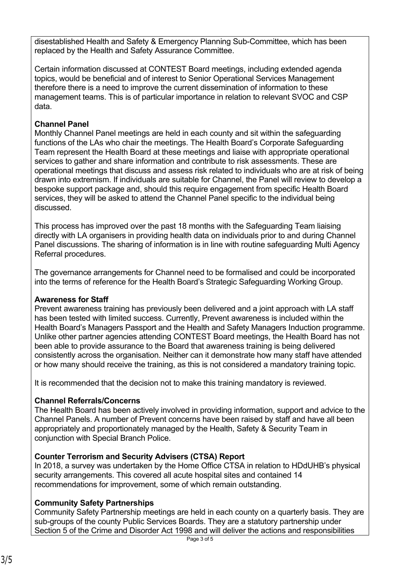disestablished Health and Safety & Emergency Planning Sub-Committee, which has been replaced by the Health and Safety Assurance Committee.

Certain information discussed at CONTEST Board meetings, including extended agenda topics, would be beneficial and of interest to Senior Operational Services Management therefore there is a need to improve the current dissemination of information to these management teams. This is of particular importance in relation to relevant SVOC and CSP data.

## **Channel Panel**

Monthly Channel Panel meetings are held in each county and sit within the safeguarding functions of the LAs who chair the meetings. The Health Board's Corporate Safeguarding Team represent the Health Board at these meetings and liaise with appropriate operational services to gather and share information and contribute to risk assessments. These are operational meetings that discuss and assess risk related to individuals who are at risk of being drawn into extremism. If individuals are suitable for Channel, the Panel will review to develop a bespoke support package and, should this require engagement from specific Health Board services, they will be asked to attend the Channel Panel specific to the individual being discussed.

This process has improved over the past 18 months with the Safeguarding Team liaising directly with LA organisers in providing health data on individuals prior to and during Channel Panel discussions. The sharing of information is in line with routine safeguarding Multi Agency Referral procedures.

The governance arrangements for Channel need to be formalised and could be incorporated into the terms of reference for the Health Board's Strategic Safeguarding Working Group.

## **Awareness for Staff**

Prevent awareness training has previously been delivered and a joint approach with LA staff has been tested with limited success. Currently, Prevent awareness is included within the Health Board's Managers Passport and the Health and Safety Managers Induction programme. Unlike other partner agencies attending CONTEST Board meetings, the Health Board has not been able to provide assurance to the Board that awareness training is being delivered consistently across the organisation. Neither can it demonstrate how many staff have attended or how many should receive the training, as this is not considered a mandatory training topic.

It is recommended that the decision not to make this training mandatory is reviewed.

# **Channel Referrals/Concerns**

The Health Board has been actively involved in providing information, support and advice to the Channel Panels. A number of Prevent concerns have been raised by staff and have all been appropriately and proportionately managed by the Health, Safety & Security Team in conjunction with Special Branch Police.

# **Counter Terrorism and Security Advisers (CTSA) Report**

In 2018, a survey was undertaken by the Home Office CTSA in relation to HDdUHB's physical security arrangements. This covered all acute hospital sites and contained 14 recommendations for improvement, some of which remain outstanding.

# **Community Safety Partnerships**

Community Safety Partnership meetings are held in each county on a quarterly basis. They are sub-groups of the county Public Services Boards. They are a statutory partnership under Section 5 of the Crime and Disorder Act 1998 and will deliver the actions and responsibilities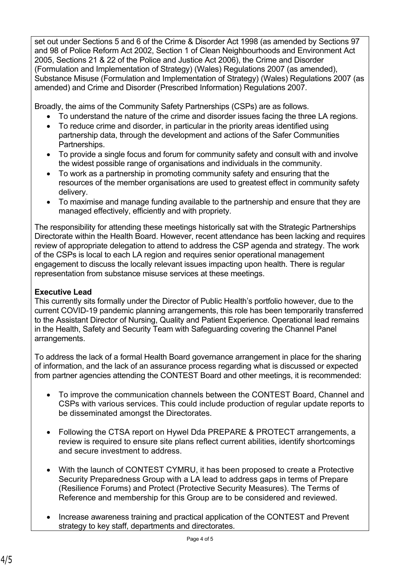set out under Sections 5 and 6 of the Crime & Disorder Act 1998 (as amended by Sections 97 and 98 of Police Reform Act 2002, Section 1 of Clean Neighbourhoods and Environment Act 2005, Sections 21 & 22 of the Police and Justice Act 2006), the Crime and Disorder (Formulation and Implementation of Strategy) (Wales) Regulations 2007 (as amended), Substance Misuse (Formulation and Implementation of Strategy) (Wales) Regulations 2007 (as amended) and Crime and Disorder (Prescribed Information) Regulations 2007.

Broadly, the aims of the Community Safety Partnerships (CSPs) are as follows.

- To understand the nature of the crime and disorder issues facing the three LA regions.
- To reduce crime and disorder, in particular in the priority areas identified using partnership data, through the development and actions of the Safer Communities Partnerships.
- To provide a single focus and forum for community safety and consult with and involve the widest possible range of organisations and individuals in the community.
- To work as a partnership in promoting community safety and ensuring that the resources of the member organisations are used to greatest effect in community safety delivery.
- To maximise and manage funding available to the partnership and ensure that they are managed effectively, efficiently and with propriety.

The responsibility for attending these meetings historically sat with the Strategic Partnerships Directorate within the Health Board. However, recent attendance has been lacking and requires review of appropriate delegation to attend to address the CSP agenda and strategy. The work of the CSPs is local to each LA region and requires senior operational management engagement to discuss the locally relevant issues impacting upon health. There is regular representation from substance misuse services at these meetings.

## **Executive Lead**

This currently sits formally under the Director of Public Health's portfolio however, due to the current COVID-19 pandemic planning arrangements, this role has been temporarily transferred to the Assistant Director of Nursing, Quality and Patient Experience. Operational lead remains in the Health, Safety and Security Team with Safeguarding covering the Channel Panel arrangements.

To address the lack of a formal Health Board governance arrangement in place for the sharing of information, and the lack of an assurance process regarding what is discussed or expected from partner agencies attending the CONTEST Board and other meetings, it is recommended:

- To improve the communication channels between the CONTEST Board, Channel and CSPs with various services. This could include production of regular update reports to be disseminated amongst the Directorates.
- Following the CTSA report on Hywel Dda PREPARE & PROTECT arrangements, a review is required to ensure site plans reflect current abilities, identify shortcomings and secure investment to address.
- With the launch of CONTEST CYMRU, it has been proposed to create a Protective Security Preparedness Group with a LA lead to address gaps in terms of Prepare (Resilience Forums) and Protect (Protective Security Measures). The Terms of Reference and membership for this Group are to be considered and reviewed.
- Increase awareness training and practical application of the CONTEST and Prevent strategy to key staff, departments and directorates.